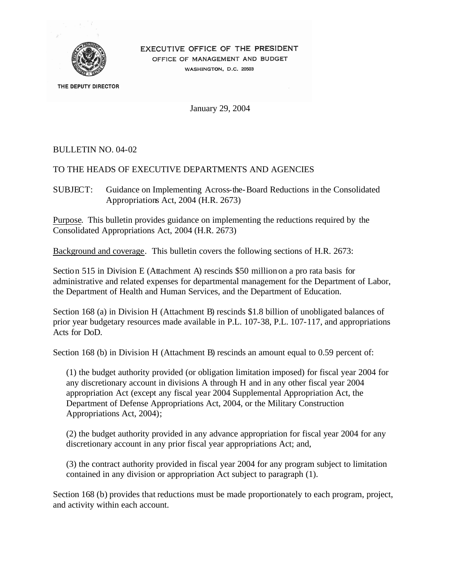

# EXECUTIVE OFFICE OF THE PRESIDENT

OFFICE OF MANAGEMENT AND BUDGET WASHINGTON, D.C. 20503

THE DEPUTY DIRECTOR

January 29, 2004

## BULLETIN NO. 04-02

### TO THE HEADS OF EXECUTIVE DEPARTMENTS AND AGENCIES

SUBJECT: Guidance on Implementing Across-the-Board Reductions in the Consolidated Appropriations Act, 2004 (H.R. 2673)

Purpose. This bulletin provides guidance on implementing the reductions required by the Consolidated Appropriations Act, 2004 (H.R. 2673)

Background and coverage. This bulletin covers the following sections of H.R. 2673:

Section 515 in Division E (Attachment A) rescinds \$50 million on a pro rata basis for administrative and related expenses for departmental management for the Department of Labor, the Department of Health and Human Services, and the Department of Education.

Section 168 (a) in Division H (Attachment B) rescinds \$1.8 billion of unobligated balances of prior year budgetary resources made available in P.L. 107-38, P.L. 107-117, and appropriations Acts for DoD.

Section 168 (b) in Division H (Attachment B) rescinds an amount equal to 0.59 percent of:

(1) the budget authority provided (or obligation limitation imposed) for fiscal year 2004 for any discretionary account in divisions A through H and in any other fiscal year 2004 appropriation Act (except any fiscal year 2004 Supplemental Appropriation Act, the Department of Defense Appropriations Act, 2004, or the Military Construction Appropriations Act, 2004);

(2) the budget authority provided in any advance appropriation for fiscal year 2004 for any discretionary account in any prior fiscal year appropriations Act; and,

(3) the contract authority provided in fiscal year 2004 for any program subject to limitation contained in any division or appropriation Act subject to paragraph (1).

Section 168 (b) provides that reductions must be made proportionately to each program, project, and activity within each account.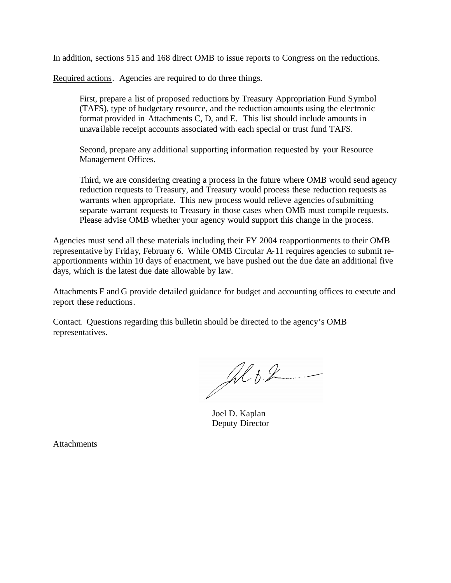In addition, sections 515 and 168 direct OMB to issue reports to Congress on the reductions.

Required actions. Agencies are required to do three things.

First, prepare a list of proposed reductions by Treasury Appropriation Fund Symbol (TAFS), type of budgetary resource, and the reduction amounts using the electronic format provided in Attachments C, D, and E. This list should include amounts in unavailable receipt accounts associated with each special or trust fund TAFS.

Second, prepare any additional supporting information requested by your Resource Management Offices.

Third, we are considering creating a process in the future where OMB would send agency reduction requests to Treasury, and Treasury would process these reduction requests as warrants when appropriate. This new process would relieve agencies of submitting separate warrant requests to Treasury in those cases when OMB must compile requests. Please advise OMB whether your agency would support this change in the process.

Agencies must send all these materials including their FY 2004 reapportionments to their OMB representative by Friday, February 6. While OMB Circular A-11 requires agencies to submit reapportionments within 10 days of enactment, we have pushed out the due date an additional five days, which is the latest due date allowable by law.

Attachments F and G provide detailed guidance for budget and accounting offices to execute and report these reductions.

Contact. Questions regarding this bulletin should be directed to the agency's OMB representatives.

 $\mathcal{A}b2$ 

Joel D. Kaplan Deputy Director

**Attachments**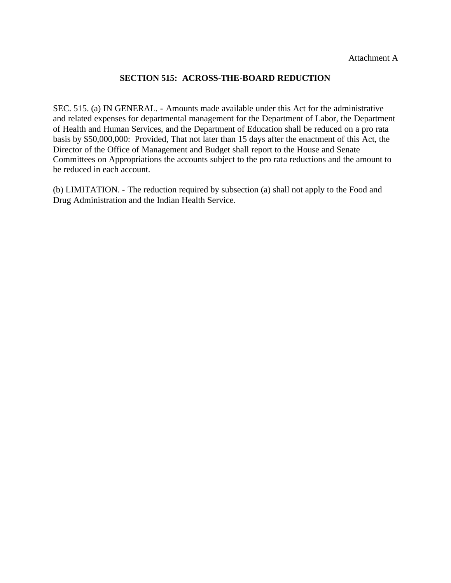#### **SECTION 515: ACROSS-THE-BOARD REDUCTION**

SEC. 515. (a) IN GENERAL. - Amounts made available under this Act for the administrative and related expenses for departmental management for the Department of Labor, the Department of Health and Human Services, and the Department of Education shall be reduced on a pro rata basis by \$50,000,000: Provided, That not later than 15 days after the enactment of this Act, the Director of the Office of Management and Budget shall report to the House and Senate Committees on Appropriations the accounts subject to the pro rata reductions and the amount to be reduced in each account.

(b) LIMITATION. - The reduction required by subsection (a) shall not apply to the Food and Drug Administration and the Indian Health Service.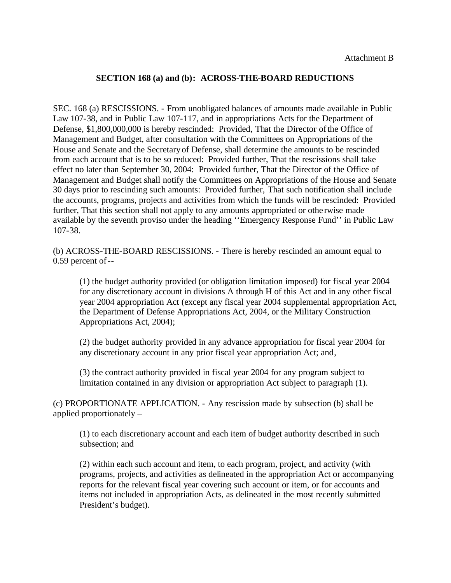#### **SECTION 168 (a) and (b): ACROSS-THE-BOARD REDUCTIONS**

SEC. 168 (a) RESCISSIONS. - From unobligated balances of amounts made available in Public Law 107-38, and in Public Law 107-117, and in appropriations Acts for the Department of Defense, \$1,800,000,000 is hereby rescinded: Provided, That the Director of the Office of Management and Budget, after consultation with the Committees on Appropriations of the House and Senate and the Secretary of Defense, shall determine the amounts to be rescinded from each account that is to be so reduced: Provided further, That the rescissions shall take effect no later than September 30, 2004: Provided further, That the Director of the Office of Management and Budget shall notify the Committees on Appropriations of the House and Senate 30 days prior to rescinding such amounts: Provided further, That such notification shall include the accounts, programs, projects and activities from which the funds will be rescinded: Provided further, That this section shall not apply to any amounts appropriated or othe rwise made available by the seventh proviso under the heading ''Emergency Response Fund'' in Public Law 107-38.

-- 0.59 percent of (b) ACROSS-THE-BOARD RESCISSIONS. - There is hereby rescinded an amount equal to

(1) the budget authority provided (or obligation limitation imposed) for fiscal year 2004 for any discretionary account in divisions A through H of this Act and in any other fiscal year 2004 appropriation Act (except any fiscal year 2004 supplemental appropriation Act, the Department of Defense Appropriations Act, 2004, or the Military Construction Appropriations Act, 2004);

(2) the budget authority provided in any advance appropriation for fiscal year 2004 for any discretionary account in any prior fiscal year appropriation Act; and,

(3) the contract authority provided in fiscal year 2004 for any program subject to limitation contained in any division or appropriation Act subject to paragraph (1).

(c) PROPORTIONATE APPLICATION. - Any rescission made by subsection (b) shall be applied proportionately –

(1) to each discretionary account and each item of budget authority described in such subsection; and

(2) within each such account and item, to each program, project, and activity (with programs, projects, and activities as delineated in the appropriation Act or accompanying reports for the relevant fiscal year covering such account or item, or for accounts and items not included in appropriation Acts, as delineated in the most recently submitted President's budget).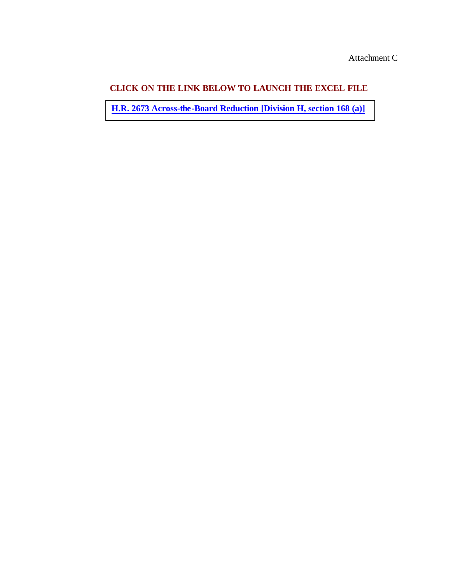**[H.R. 2673 Across-the-Board Reduction \[Division H, section 168 \(a\)\]](http://www.whitehouse.gov/omb/bulletins/fy04/b04-02_c.xls)**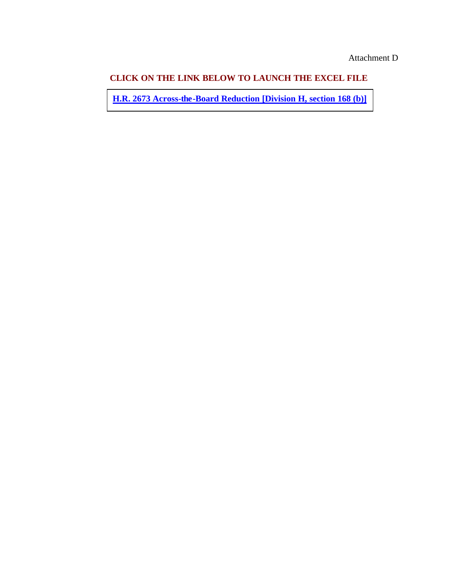**[H.R. 2673 Across-the-Board Reduction \[Division H, section 168 \(b\)\]](http://www.whitehouse.gov/omb/bulletins/fy04/b04-02_d.xls)**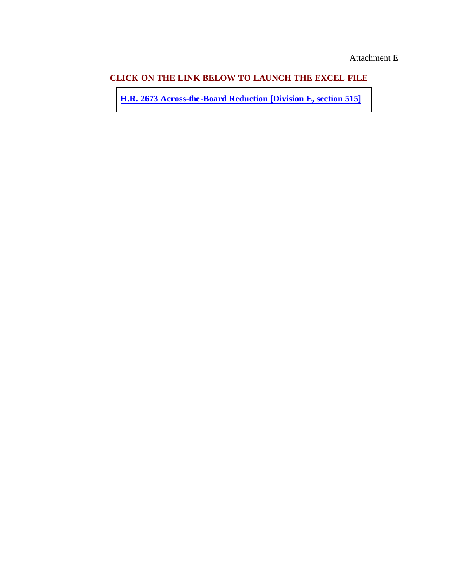**[H.R. 2673 Across-the-Board Reduction \[Division E, section 515\]](http://www.whitehouse.gov/omb/bulletins/fy04/b04-02_e.xls)**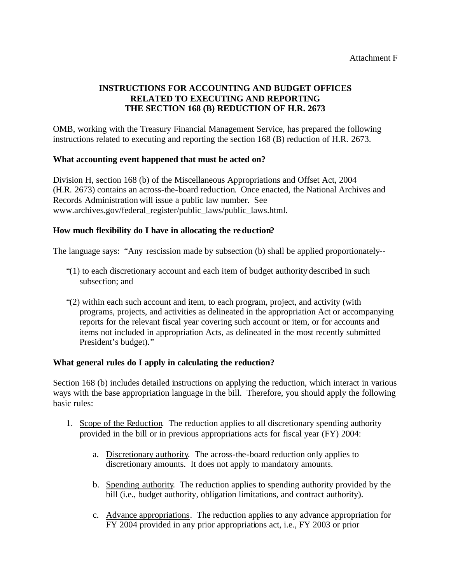# **INSTRUCTIONS FOR ACCOUNTING AND BUDGET OFFICES RELATED TO EXECUTING AND REPORTING THE SECTION 168 (B) REDUCTION OF H.R. 2673**

OMB, working with the Treasury Financial Management Service, has prepared the following instructions related to executing and reporting the section 168 (B) reduction of H.R. 2673.

## **What accounting event happened that must be acted on?**

Division H, section 168 (b) of the Miscellaneous Appropriations and Offset Act, 2004 (H.R. 2673) contains an across-the-board reduction. Once enacted, the National Archives and Records Administration will issue a public law number. See www.archives.gov/federal\_register/public\_laws/public\_laws.html.

# **How much flexibility do I have in allocating the reduction?**

The language says: "Any rescission made by subsection (b) shall be applied proportionately-

- "(1) to each discretionary account and each item of budget authority described in such subsection; and
- "(2) within each such account and item, to each program, project, and activity (with programs, projects, and activities as delineated in the appropriation Act or accompanying reports for the relevant fiscal year covering such account or item, or for accounts and items not included in appropriation Acts, as delineated in the most recently submitted President's budget)."

## **What general rules do I apply in calculating the reduction?**

Section 168 (b) includes detailed instructions on applying the reduction, which interact in various ways with the base appropriation language in the bill. Therefore, you should apply the following basic rules:

- 1. Scope of the Reduction. The reduction applies to all discretionary spending authority provided in the bill or in previous appropriations acts for fiscal year (FY) 2004:
	- a. Discretionary authority. The across-the-board reduction only applies to discretionary amounts. It does not apply to mandatory amounts.
	- b. Spending authority. The reduction applies to spending authority provided by the bill (i.e., budget authority, obligation limitations, and contract authority).
	- c. Advance appropriations. The reduction applies to any advance appropriation for FY 2004 provided in any prior appropriations act, i.e., FY 2003 or prior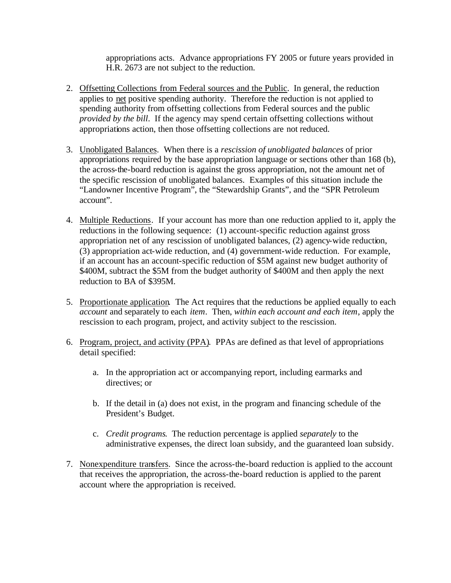appropriations acts. Advance appropriations FY 2005 or future years provided in H.R. 2673 are not subject to the reduction.

- 2. Offsetting Collections from Federal sources and the Public. In general, the reduction applies to net positive spending authority. Therefore the reduction is not applied to spending authority from offsetting collections from Federal sources and the public *provided by the bill*. If the agency may spend certain offsetting collections without appropriations action, then those offsetting collections are not reduced.
- 3. Unobligated Balances. When there is a *rescission of unobligated balances* of prior appropriations required by the base appropriation language or sections other than 168 (b), the across-the-board reduction is against the gross appropriation, not the amount net of the specific rescission of unobligated balances. Examples of this situation include the "Landowner Incentive Program", the "Stewardship Grants", and the "SPR Petroleum account".
- 4. Multiple Reductions. If your account has more than one reduction applied to it, apply the reductions in the following sequence: (1) account-specific reduction against gross appropriation net of any rescission of unobligated balances, (2) agency-wide reduction, (3) appropriation act-wide reduction, and (4) government-wide reduction. For example, if an account has an account-specific reduction of \$5M against new budget authority of \$400M, subtract the \$5M from the budget authority of \$400M and then apply the next reduction to BA of \$395M.
- 5. Proportionate application. The Act requires that the reductions be applied equally to each *account* and separately to each *item.* Then, *within each account and each item*, apply the rescission to each program, project, and activity subject to the rescission.
- 6. Program, project, and activity (PPA). PPAs are defined as that level of appropriations detail specified:
	- a. In the appropriation act or accompanying report, including earmarks and directives; or
	- b. If the detail in (a) does not exist, in the program and financing schedule of the President's Budget.
	- c. *Credit programs*. The reduction percentage is applied *separately* to the administrative expenses, the direct loan subsidy, and the guaranteed loan subsidy.
- 7. Nonexpenditure transfers. Since the across-the-board reduction is applied to the account that receives the appropriation, the across-the-board reduction is applied to the parent account where the appropriation is received.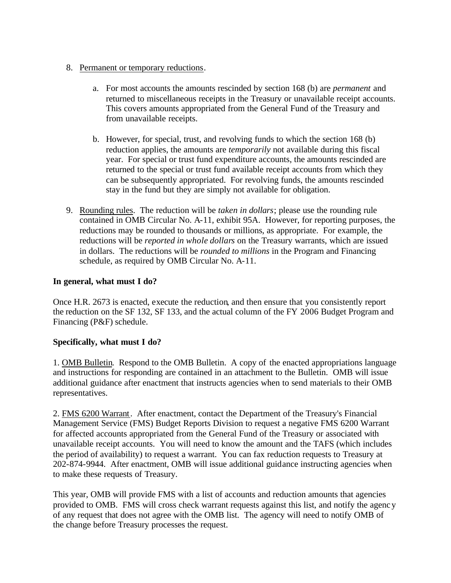### 8. Permanent or temporary reductions.

- a. For most accounts the amounts rescinded by section 168 (b) are *permanent* and returned to miscellaneous receipts in the Treasury or unavailable receipt accounts. This covers amounts appropriated from the General Fund of the Treasury and from unavailable receipts.
- b. However, for special, trust, and revolving funds to which the section 168 (b) reduction applies, the amounts are *temporarily* not available during this fiscal year. For special or trust fund expenditure accounts, the amounts rescinded are returned to the special or trust fund available receipt accounts from which they can be subsequently appropriated. For revolving funds, the amounts rescinded stay in the fund but they are simply not available for obligation.
- 9. Rounding rules. The reduction will be *taken in dollars*; please use the rounding rule contained in OMB Circular No. A-11, exhibit 95A. However, for reporting purposes, the reductions may be rounded to thousands or millions, as appropriate. For example, the reductions will be *reported in whole dollars* on the Treasury warrants, which are issued in dollars. The reductions will be *rounded to millions* in the Program and Financing schedule, as required by OMB Circular No. A-11.

## **In general, what must I do?**

Once H.R. 2673 is enacted, execute the reduction, and then ensure that you consistently report the reduction on the SF 132, SF 133, and the actual column of the FY 2006 Budget Program and Financing (P&F) schedule.

## **Specifically, what must I do?**

1. OMB Bulletin. Respond to the OMB Bulletin. A copy of the enacted appropriations language and instructions for responding are contained in an attachment to the Bulletin. OMB will issue additional guidance after enactment that instructs agencies when to send materials to their OMB representatives.

2. FMS 6200 Warrant. After enactment, contact the Department of the Treasury's Financial Management Service (FMS) Budget Reports Division to request a negative FMS 6200 Warrant for affected accounts appropriated from the General Fund of the Treasury or associated with unavailable receipt accounts. You will need to know the amount and the TAFS (which includes the period of availability) to request a warrant. You can fax reduction requests to Treasury at 202-874-9944. After enactment, OMB will issue additional guidance instructing agencies when to make these requests of Treasury.

This year, OMB will provide FMS with a list of accounts and reduction amounts that agencies provided to OMB. FMS will cross check warrant requests against this list, and notify the agency of any request that does not agree with the OMB list. The agency will need to notify OMB of the change before Treasury processes the request.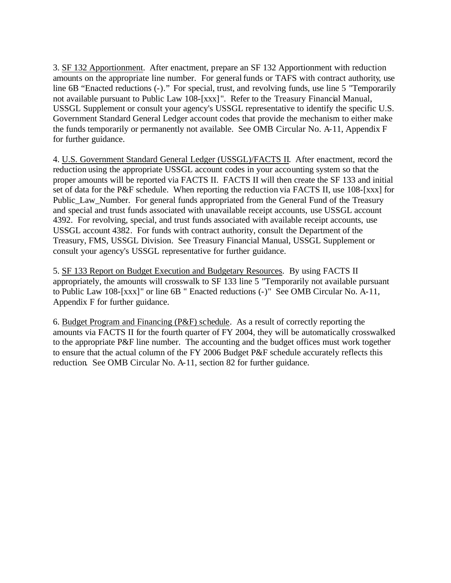3. SF 132 Apportionment. After enactment, prepare an SF 132 Apportionment with reduction amounts on the appropriate line number. For general funds or TAFS with contract authority, use line 6B "Enacted reductions (-)." For special, trust, and revolving funds, use line 5 "Temporarily not available pursuant to Public Law 108-[xxx] ". Refer to the Treasury Financial Manual, USSGL Supplement or consult your agency's USSGL representative to identify the specific U.S. Government Standard General Ledger account codes that provide the mechanism to either make the funds temporarily or permanently not available. See OMB Circular No. A-11, Appendix F for further guidance.

4. U.S. Government Standard General Ledger (USSGL)/FACTS II. After enactment, record the reduction using the appropriate USSGL account codes in your accounting system so that the proper amounts will be reported via FACTS II. FACTS II will then create the SF 133 and initial set of data for the P&F schedule. When reporting the reduction via FACTS II, use 108-[xxx] for Public Law Number. For general funds appropriated from the General Fund of the Treasury and special and trust funds associated with unavailable receipt accounts, use USSGL account 4392. For revolving, special, and trust funds associated with available receipt accounts, use USSGL account 4382. For funds with contract authority, consult the Department of the Treasury, FMS, USSGL Division. See Treasury Financial Manual, USSGL Supplement or consult your agency's USSGL representative for further guidance.

5. SF 133 Report on Budget Execution and Budgetary Resources. By using FACTS II appropriately, the amounts will crosswalk to SF 133 line 5 "Temporarily not available pursuant to Public Law 108-[xxx]" or line 6B " Enacted reductions (-)" See OMB Circular No. A-11, Appendix F for further guidance.

6. Budget Program and Financing (P&F) schedule. As a result of correctly reporting the amounts via FACTS II for the fourth quarter of FY 2004, they will be automatically crosswalked to the appropriate P&F line number. The accounting and the budget offices must work together to ensure that the actual column of the FY 2006 Budget P&F schedule accurately reflects this reduction. See OMB Circular No. A-11, section 82 for further guidance.